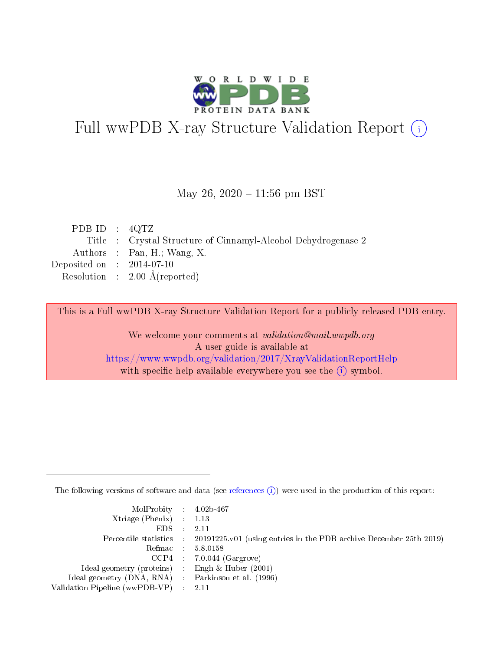

# Full wwPDB X-ray Structure Validation Report (i)

May 26,  $2020 - 11:56$  pm BST

| PDB ID : $4QTZ$                                               |
|---------------------------------------------------------------|
| Title : Crystal Structure of Cinnamyl-Alcohol Dehydrogenase 2 |
| Authors : Pan, H.; Wang, X.                                   |
| Deposited on : $2014-07-10$                                   |
| Resolution : $2.00 \text{ Å}$ (reported)                      |
|                                                               |

This is a Full wwPDB X-ray Structure Validation Report for a publicly released PDB entry.

We welcome your comments at validation@mail.wwpdb.org A user guide is available at <https://www.wwpdb.org/validation/2017/XrayValidationReportHelp> with specific help available everywhere you see the  $(i)$  symbol.

The following versions of software and data (see [references](https://www.wwpdb.org/validation/2017/XrayValidationReportHelp#references)  $(i)$ ) were used in the production of this report:

| $MolProbability$ 4.02b-467                          |                                                                                            |
|-----------------------------------------------------|--------------------------------------------------------------------------------------------|
| Xtriage (Phenix) $: 1.13$                           |                                                                                            |
| $EDS$ :                                             | -2.11                                                                                      |
|                                                     | Percentile statistics : 20191225.v01 (using entries in the PDB archive December 25th 2019) |
|                                                     | Refmac : 5.8.0158                                                                          |
|                                                     | $CCP4$ : 7.0.044 (Gargrove)                                                                |
| Ideal geometry (proteins) : Engh $\&$ Huber (2001)  |                                                                                            |
| Ideal geometry (DNA, RNA) : Parkinson et al. (1996) |                                                                                            |
| Validation Pipeline (wwPDB-VP)                      | -2.11                                                                                      |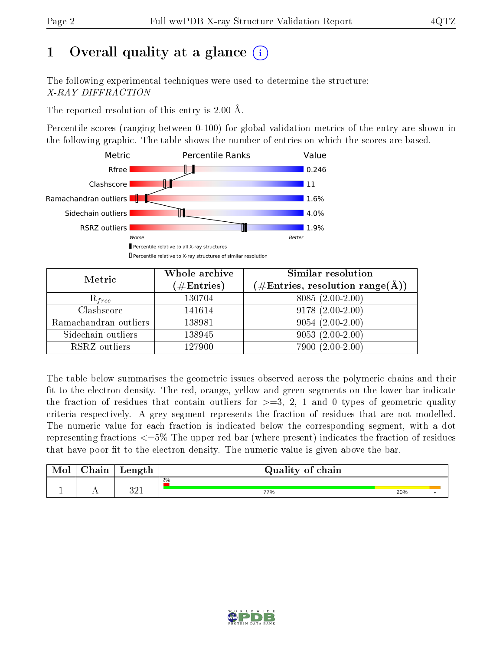# 1 [O](https://www.wwpdb.org/validation/2017/XrayValidationReportHelp#overall_quality)verall quality at a glance  $(i)$

The following experimental techniques were used to determine the structure: X-RAY DIFFRACTION

The reported resolution of this entry is 2.00 Å.

Percentile scores (ranging between 0-100) for global validation metrics of the entry are shown in the following graphic. The table shows the number of entries on which the scores are based.



| Metric                | Whole archive<br>$(\#\mathrm{Entries})$ | Similar resolution<br>$(\#\text{Entries},\,\text{resolution}\,\,\text{range}(\textup{\AA}))$ |
|-----------------------|-----------------------------------------|----------------------------------------------------------------------------------------------|
| $R_{free}$            | 130704                                  | $8085(2.00-2.00)$                                                                            |
| Clashscore            | 141614                                  | $9178(2.00-2.00)$                                                                            |
| Ramachandran outliers | 138981                                  | $9054(2.00-2.00)$                                                                            |
| Sidechain outliers    | 138945                                  | $9053(2.00-2.00)$                                                                            |
| RSRZ outliers         | 127900                                  | $7900(2.00-2.00)$                                                                            |

The table below summarises the geometric issues observed across the polymeric chains and their fit to the electron density. The red, orange, yellow and green segments on the lower bar indicate the fraction of residues that contain outliers for  $>=3, 2, 1$  and 0 types of geometric quality criteria respectively. A grey segment represents the fraction of residues that are not modelled. The numeric value for each fraction is indicated below the corresponding segment, with a dot representing fractions <=5% The upper red bar (where present) indicates the fraction of residues that have poor fit to the electron density. The numeric value is given above the bar.

| Mol | $\cap$ hain | Length         | Quality of chain |     |  |  |  |  |
|-----|-------------|----------------|------------------|-----|--|--|--|--|
|     |             |                | $2\%$            |     |  |  |  |  |
|     |             | າ ດ 1<br>⊥ ∠ ل | 77%              | 20% |  |  |  |  |

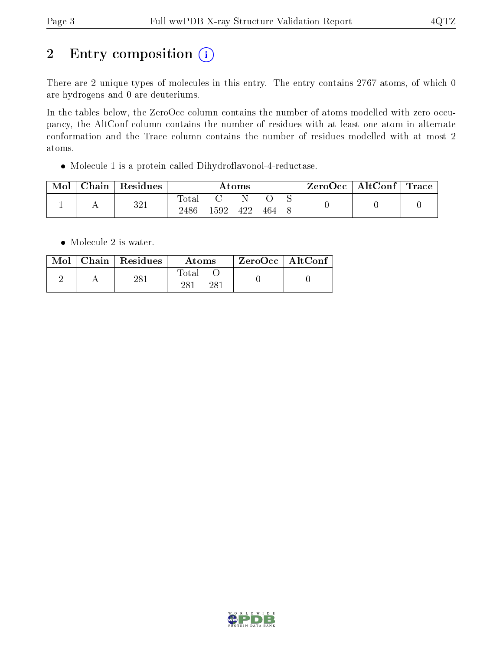# 2 Entry composition (i)

There are 2 unique types of molecules in this entry. The entry contains 2767 atoms, of which 0 are hydrogens and 0 are deuteriums.

In the tables below, the ZeroOcc column contains the number of atoms modelled with zero occupancy, the AltConf column contains the number of residues with at least one atom in alternate conformation and the Trace column contains the number of residues modelled with at most 2 atoms.

Molecule 1 is a protein called Dihydroflavonol-4-reductase.

| Mol | ${\bf Chain}$ | $\vert$ Residues | Atoms         |      |     |     | $\rm{ZeroOcc}$   $\rm{AltConf}$   $\rm{Trace}$ |  |  |
|-----|---------------|------------------|---------------|------|-----|-----|------------------------------------------------|--|--|
|     | . .           | 321              | Total<br>2486 | -592 | 422 | 464 | ◡                                              |  |  |

• Molecule 2 is water.

|  | $Mol$   Chain   Residues | Atoms               | ZeroOcc   AltConf |
|--|--------------------------|---------------------|-------------------|
|  | 281                      | Total<br>າຂາ<br>921 |                   |

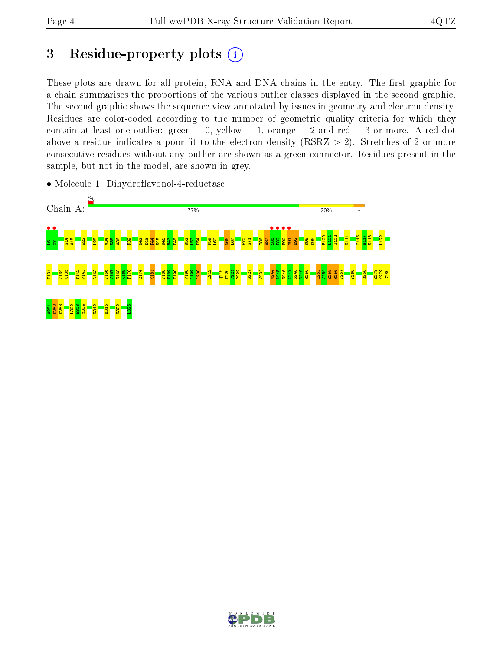## 3 Residue-property plots  $(i)$

These plots are drawn for all protein, RNA and DNA chains in the entry. The first graphic for a chain summarises the proportions of the various outlier classes displayed in the second graphic. The second graphic shows the sequence view annotated by issues in geometry and electron density. Residues are color-coded according to the number of geometric quality criteria for which they contain at least one outlier: green  $= 0$ , yellow  $= 1$ , orange  $= 2$  and red  $= 3$  or more. A red dot above a residue indicates a poor fit to the electron density (RSRZ  $> 2$ ). Stretches of 2 or more consecutive residues without any outlier are shown as a green connector. Residues present in the sample, but not in the model, are shown in grey.



• Molecule 1: Dihydroflavonol-4-reductase

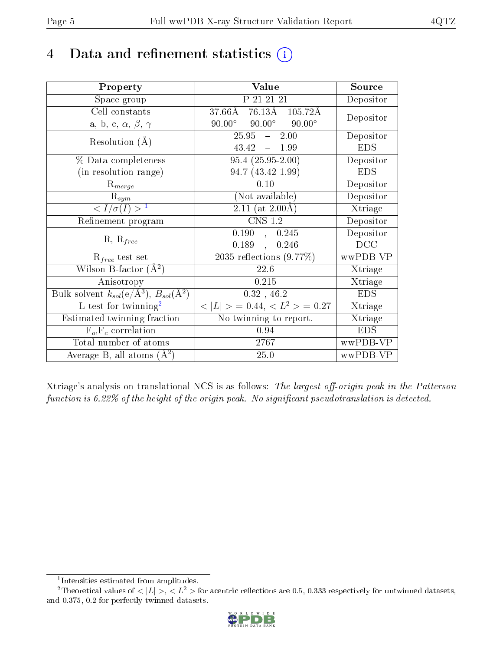## 4 Data and refinement statistics  $(i)$

| Property                                                         | Value                                                  | Source     |
|------------------------------------------------------------------|--------------------------------------------------------|------------|
| Space group                                                      | P 21 21 21                                             | Depositor  |
| Cell constants                                                   | $37.66\text{\AA}$ $76.13\text{\AA}$ $105.72\text{\AA}$ | Depositor  |
| a, b, c, $\alpha$ , $\beta$ , $\gamma$                           | $90.00^{\circ}$ $90.00^{\circ}$<br>$90.00^\circ$       |            |
| Resolution $(A)$                                                 | $25.95 - 2.00$                                         | Depositor  |
|                                                                  | $43.42 = 1.99$                                         | <b>EDS</b> |
| $\%$ Data completeness                                           | $95.4(25.95-2.00)$                                     | Depositor  |
| (in resolution range)                                            | 94.7 (43.42-1.99)                                      | <b>EDS</b> |
| $R_{merge}$                                                      | 0.10                                                   | Depositor  |
| $\mathrm{R}_{sym}$                                               | (Not available)                                        | Depositor  |
| $\langle I/\sigma(I) \rangle^{-1}$                               | $\sqrt{2.11 \text{ (at } 2.00 \text{\AA})}$            | Xtriage    |
| Refinement program                                               | $\overline{\text{CNS} 1.2}$                            | Depositor  |
|                                                                  | 0.190, 0.245                                           | Depositor  |
| $R, R_{free}$                                                    | 0.189,<br>0.246                                        | DCC        |
| $R_{free}$ test set                                              | 2035 reflections $(9.77\%)$                            | wwPDB-VP   |
| Wilson B-factor $(A^2)$                                          | 22.6                                                   | Xtriage    |
| Anisotropy                                                       | 0.215                                                  | Xtriage    |
| Bulk solvent $k_{sol}(\text{e}/\text{A}^3), B_{sol}(\text{A}^2)$ | $0.32$ , 46.2                                          | <b>EDS</b> |
| L-test for $\mathrm{twinning}^2$                                 | $< L >$ = 0.44, $< L2 >$ = 0.27                        | Xtriage    |
| Estimated twinning fraction                                      | No twinning to report.                                 | Xtriage    |
| $\overline{F_o}, \overline{F_c}$ correlation                     | 0.94                                                   | <b>EDS</b> |
| Total number of atoms                                            | 2767                                                   | wwPDB-VP   |
| Average B, all atoms $(A^2)$                                     | 25.0                                                   | wwPDB-VP   |

Xtriage's analysis on translational NCS is as follows: The largest off-origin peak in the Patterson function is  $6.22\%$  of the height of the origin peak. No significant pseudotranslation is detected.

<sup>&</sup>lt;sup>2</sup>Theoretical values of  $\langle |L| \rangle$ ,  $\langle L^2 \rangle$  for acentric reflections are 0.5, 0.333 respectively for untwinned datasets, and 0.375, 0.2 for perfectly twinned datasets.



<span id="page-4-1"></span><span id="page-4-0"></span><sup>1</sup> Intensities estimated from amplitudes.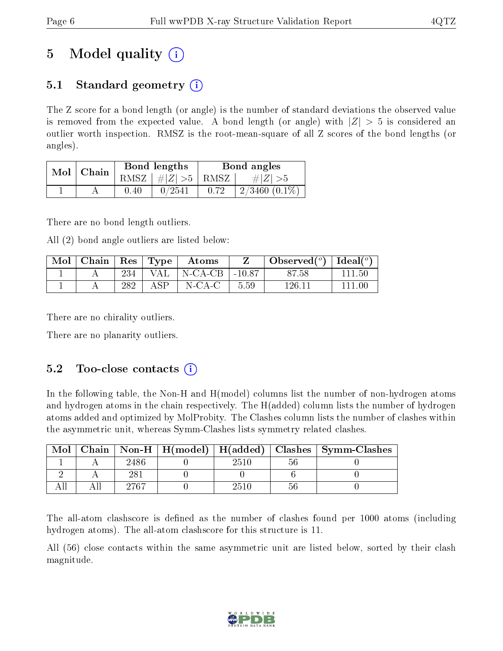# 5 Model quality  $(i)$

### 5.1 Standard geometry (i)

The Z score for a bond length (or angle) is the number of standard deviations the observed value is removed from the expected value. A bond length (or angle) with  $|Z| > 5$  is considered an outlier worth inspection. RMSZ is the root-mean-square of all Z scores of the bond lengths (or angles).

| Mol | Chain |      | Bond lengths                     | Bond angles |                  |  |
|-----|-------|------|----------------------------------|-------------|------------------|--|
|     |       |      | RMSZ $\mid \#  Z  > 5 \mid$ RMSZ |             | $\# Z  > 5$      |  |
|     |       | 0.40 | 0/2541                           | 0.72        | $2/3460$ (0.1\%) |  |

There are no bond length outliers.

All (2) bond angle outliers are listed below:

| Mol | Chain   $\text{Res}$   $\text{Type}$ |     |             | Atoms                 |        | Observed $(°)$ | Ideal $(°)$ |
|-----|--------------------------------------|-----|-------------|-----------------------|--------|----------------|-------------|
|     |                                      | 234 | VAL         | $\mid$ N-CA-CB $\mid$ | -10.87 | 87.58          | 111.50      |
|     |                                      | 282 | ${\rm ASP}$ | $N$ -CA-C             | 5.59   | 126.11         | 111 00      |

There are no chirality outliers.

There are no planarity outliers.

### 5.2 Too-close contacts (i)

In the following table, the Non-H and H(model) columns list the number of non-hydrogen atoms and hydrogen atoms in the chain respectively. The H(added) column lists the number of hydrogen atoms added and optimized by MolProbity. The Clashes column lists the number of clashes within the asymmetric unit, whereas Symm-Clashes lists symmetry related clashes.

| Mol |      |      | Chain   Non-H   H(model)   H(added)   Clashes   Symm-Clashes |
|-----|------|------|--------------------------------------------------------------|
|     | 2486 | 2510 |                                                              |
|     |      |      |                                                              |
|     | 2767 | 2510 |                                                              |

The all-atom clashscore is defined as the number of clashes found per 1000 atoms (including hydrogen atoms). The all-atom clashscore for this structure is 11.

All (56) close contacts within the same asymmetric unit are listed below, sorted by their clash magnitude.

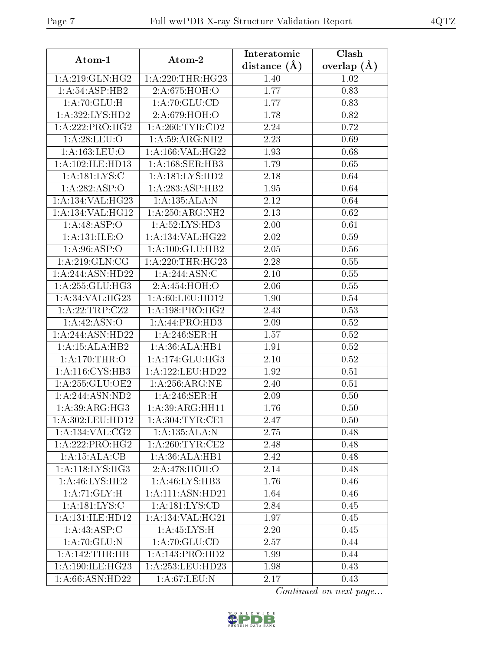| Atom-1                       | Atom-2              | Interatomic    | Clash         |
|------------------------------|---------------------|----------------|---------------|
|                              |                     | distance $(A)$ | overlap $(A)$ |
| $1:A:\overline{219:GLN:HG2}$ | 1: A:220:THR:HG23   | 1.40           | 1.02          |
| 1: A:54:ASP:HB2              | 2:A:675:HOH:O       | 1.77           | 0.83          |
| 1: A:70: GLU:H               | 1: A:70: GLU:CD     | 1.77           | 0.83          |
| 1:A:322:LYS:HD2              | 2:A:679:HOH:O       | 1.78           | 0.82          |
| 1:A:222:PRO:HG2              | 1: A:260:TYR:CD2    | 2.24           | 0.72          |
| 1: A:28: LEU:O               | 1: A:59: ARG: NH2   | 2.23           | 0.69          |
| 1: A: 163: LEU: O            | 1:A:166:VAL:HG22    | 1.93           | 0.68          |
| 1:A:102:ILE:HD13             | 1:A:168:SER:HB3     | 1.79           | 0.65          |
| $1:$ A:181:LYS:C             | 1: A: 181: LYS: HD2 | 2.18           | 0.64          |
| 1:A:282:ASP:O                | 1:A:283:ASP:HB2     | 1.95           | 0.64          |
| 1:A:134:VAL:HG23             | 1:A:135:ALA:N       | 2.12           | 0.64          |
| 1:A:134:VAL:HG12             | 1: A:250:ARG:NH2    | 2.13           | 0.62          |
| 1:A:48:ASP:O                 | 1:A:52:LYS:HD3      | 2.00           | 0.61          |
| 1:A:131:ILE:O                | 1:A:134:VAL:HG22    | 2.02           | 0.59          |
| 1: A:96: ASP:O               | 1:A:100:GLU:HB2     | 2.05           | 0.56          |
| 1: A:219: GLN:CG             | 1: A:220:THR:HG23   | 2.28           | 0.55          |
| 1:A:244:ASN:HD22             | 1:A:244:ASN:C       | 2.10           | 0.55          |
| 1: A:255: GLU:HG3            | 2:A:454:HOH:O       | 2.06           | 0.55          |
| 1:A:34:VAL:HG23              | 1: A:60:LEU:HD12    | 1.90           | 0.54          |
| 1:A:22:TRP:CZ2               | 1: A: 198: PRO:HG2  | 2.43           | 0.53          |
| 1:A:42:ASN:O                 | 1:A:44:PRO:HD3      | 2.09           | 0.52          |
| 1:A:244:ASN:HD22             | 1: A:246:SER:H      | 1.57           | 0.52          |
| 1:A:15:ALA:HB2               | 1:A:36:ALA:HB1      | 1.91           | 0.52          |
| 1: A:170:THR:O               | 1:A:174:GLU:HG3     | 2.10           | 0.52          |
| 1: A:116: CYS:HB3            | 1:A:122:LEU:HD22    | 1.92           | 0.51          |
| 1: A:255: GLU:OE2            | 1: A:256: ARG: NE   | 2.40           | 0.51          |
| 1: A:244: ASN:ND2            | 1:A:246:SER:H       | 2.09           | 0.50          |
| 1: A:39: ARG: HG3            | 1:A:39:ARG:HH11     | 1.76           | 0.50          |
| 1:A:302:LEU:HD12             | 1: A: 304: TYR: CE1 | 2.47           | 0.50          |
| 1: A: 134: VAL: CG2          | 1: A: 135: ALA: N   | 2.75           | 0.48          |
| 1: A: 222: PRO:HG2           | 1: A:260:TYR:CE2    | 2.48           | 0.48          |
| 1:A:15:ALA:CB                | 1:A:36:ALA:HB1      | 2.42           | 0.48          |
| 1: A:118: LYS: HG3           | 2:A:478:HOH:O       | 2.14           | 0.48          |
| 1: A:46: LYS: HE2            | 1: A:46: LYS:HB3    | 1.76           | 0.46          |
| 1: A:71: GLY: H              | 1:A:111:ASN:HD21    | 1.64           | 0.46          |
| $1:$ A:181:LYS:C             | 1: A: 181: LYS: CD  | 2.84           | 0.45          |
| 1:A:131:ILE:HD12             | 1:A:134:VAL:HG21    | 1.97           | 0.45          |
| 1: A: 43: ASP: C             | 1: A:45: LYS:H      | 2.20           | 0.45          |
| 1: A:70: GLU:N               | 1: A:70: GLU:CD     | 2.57           | 0.44          |
| 1:A:142:THR:HB               | 1:A:143:PRO:HD2     | 1.99           | 0.44          |
| 1:A:190:ILE:HG23             | 1:A:253:LEU:HD23    | 1.98           | 0.43          |
| 1: A:66: ASN:HD22            | 1: A:67:LEU: N      | 2.17           | 0.43          |

Continued on next page...

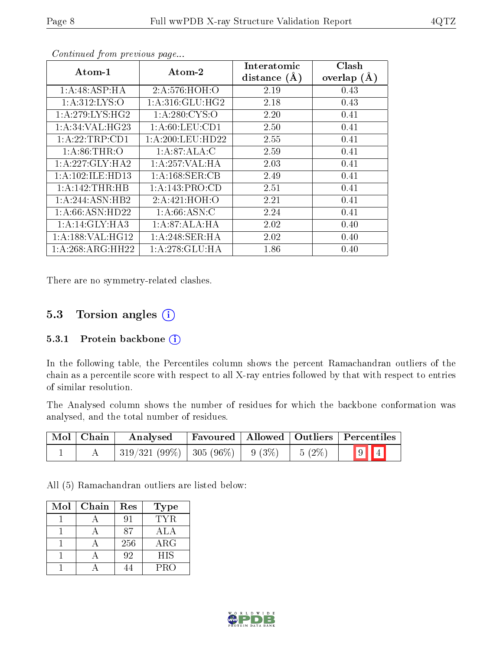| $Atom-1$                     | $\boldsymbol{\mathrm{Atom}\text{-}2}$ | Interatomic      | Clash         |
|------------------------------|---------------------------------------|------------------|---------------|
|                              |                                       | distance $(\AA)$ | overlap $(A)$ |
| 1:A:48:ASP:HA                | 2:A:576:HOH:O                         | 2.19             | 0.43          |
| 1: A:312: LYS:O              | 1: A:316: GLU: HG2                    | 2.18             | 0.43          |
| 1: A:279: LYS: HG2           | 1: A:280: CYS:O                       | 2.20             | 0.41          |
| 1:A:34:VAL:HG23              | 1: A:60:LEU:CD1                       | 2.50             | 0.41          |
| 1:A:22:TRP:CD1               | 1: A:200:LEU:HD22                     | 2.55             | 0.41          |
| 1: A:86:THR:O                | 1:A:87:ALA:C                          | 2.59             | 0.41          |
| $1:A:227:GLY:\overline{HA2}$ | 1: A:257: VAL:HA                      | 2.03             | 0.41          |
| 1:A:102:ILE:HD13             | 1: A: 168: SER: CB                    | 2.49             | 0.41          |
| 1:A:142:THR:HB               | 1: A:143: PRO:CD                      | 2.51             | 0.41          |
| 1:A:244:ASN:HB2              | 2:A:421:HOH:O                         | 2.21             | 0.41          |
| 1: A:66: ASN:HD22            | 1: A:66: ASN: C                       | 2.24             | 0.41          |
| 1:A:14:GLY:HA3               | 1:A:87:ALA:HA                         | 2.02             | 0.40          |
| 1:A:188:VAL:H <sub>G12</sub> | 1:A:248:SER:HA                        | 2.02             | 0.40          |
| 1:A:268:ARG:HH22             | 1: A:278: GLU:HA                      | 1.86             | 0.40          |

Continued from previous page...

There are no symmetry-related clashes.

### 5.3 Torsion angles (i)

#### 5.3.1 Protein backbone  $(i)$

In the following table, the Percentiles column shows the percent Ramachandran outliers of the chain as a percentile score with respect to all X-ray entries followed by that with respect to entries of similar resolution.

The Analysed column shows the number of residues for which the backbone conformation was analysed, and the total number of residues.

| Mol   Chain | Analysed                                |  |          | Favoured   Allowed   Outliers   Percentiles |
|-------------|-----------------------------------------|--|----------|---------------------------------------------|
|             | $-319/321(99\%)$   305 (96\%)   9 (3\%) |  | $5(2\%)$ | $\boxed{9}$ $\boxed{4}$                     |

All (5) Ramachandran outliers are listed below:

| Mol | Chain | Res | Type       |
|-----|-------|-----|------------|
|     |       | 91  | TYR.       |
|     |       | 87  | ALA        |
|     |       | 256 | $\rm{ARG}$ |
|     |       | 92  | <b>HIS</b> |
|     |       |     | <b>PRO</b> |

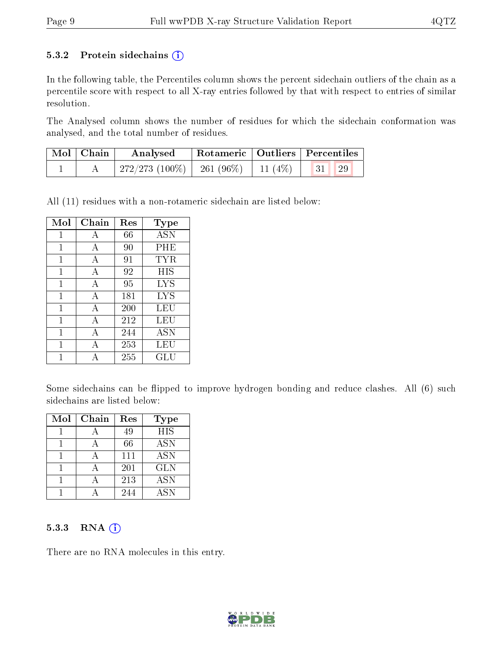#### 5.3.2 Protein sidechains  $(i)$

In the following table, the Percentiles column shows the percent sidechain outliers of the chain as a percentile score with respect to all X-ray entries followed by that with respect to entries of similar resolution.

The Analysed column shows the number of residues for which the sidechain conformation was analysed, and the total number of residues.

| $\mid$ Mol $\mid$ Chain | Analysed                                  | Rotameric   Outliers   Percentiles |                                 |
|-------------------------|-------------------------------------------|------------------------------------|---------------------------------|
|                         | $272/273$ (100\%)   261 (96\%)   11 (4\%) |                                    | $\vert 31 \vert \vert 29 \vert$ |

All (11) residues with a non-rotameric sidechain are listed below:

| Mol          | Chain          | Res | <b>Type</b> |
|--------------|----------------|-----|-------------|
| 1            | А              | 66  | <b>ASN</b>  |
| $\mathbf{1}$ | А              | 90  | PHE         |
| $\mathbf{1}$ | А              | 91  | TYR         |
| 1            | $\overline{A}$ | 92  | HIS         |
| 1            | А              | 95  | <b>LYS</b>  |
| 1            | А              | 181 | LYS         |
| 1            | А              | 200 | LEU         |
| 1            | А              | 212 | LEU         |
| 1            | А              | 244 | <b>ASN</b>  |
| 1            | А              | 253 | LEU         |
|              | Α              | 255 | GLU         |

Some sidechains can be flipped to improve hydrogen bonding and reduce clashes. All (6) such sidechains are listed below:

| Mol | Chain | Res | <b>Type</b>               |
|-----|-------|-----|---------------------------|
|     |       | 49  | <b>HIS</b>                |
|     |       | 66  | <b>ASN</b>                |
|     |       | 111 | <b>ASN</b>                |
|     |       | 201 | <b>GLN</b>                |
|     |       | 213 | $\overline{\mathrm{ASN}}$ |
|     |       | 244 | ASN                       |

#### 5.3.3 RNA (1)

There are no RNA molecules in this entry.

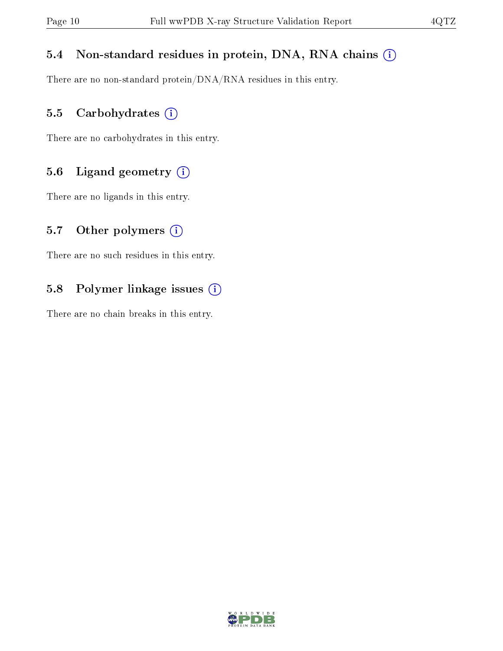#### 5.4 Non-standard residues in protein, DNA, RNA chains (i)

There are no non-standard protein/DNA/RNA residues in this entry.

#### 5.5 Carbohydrates (i)

There are no carbohydrates in this entry.

#### 5.6 Ligand geometry (i)

There are no ligands in this entry.

#### 5.7 [O](https://www.wwpdb.org/validation/2017/XrayValidationReportHelp#nonstandard_residues_and_ligands)ther polymers  $(i)$

There are no such residues in this entry.

#### 5.8 Polymer linkage issues (i)

There are no chain breaks in this entry.